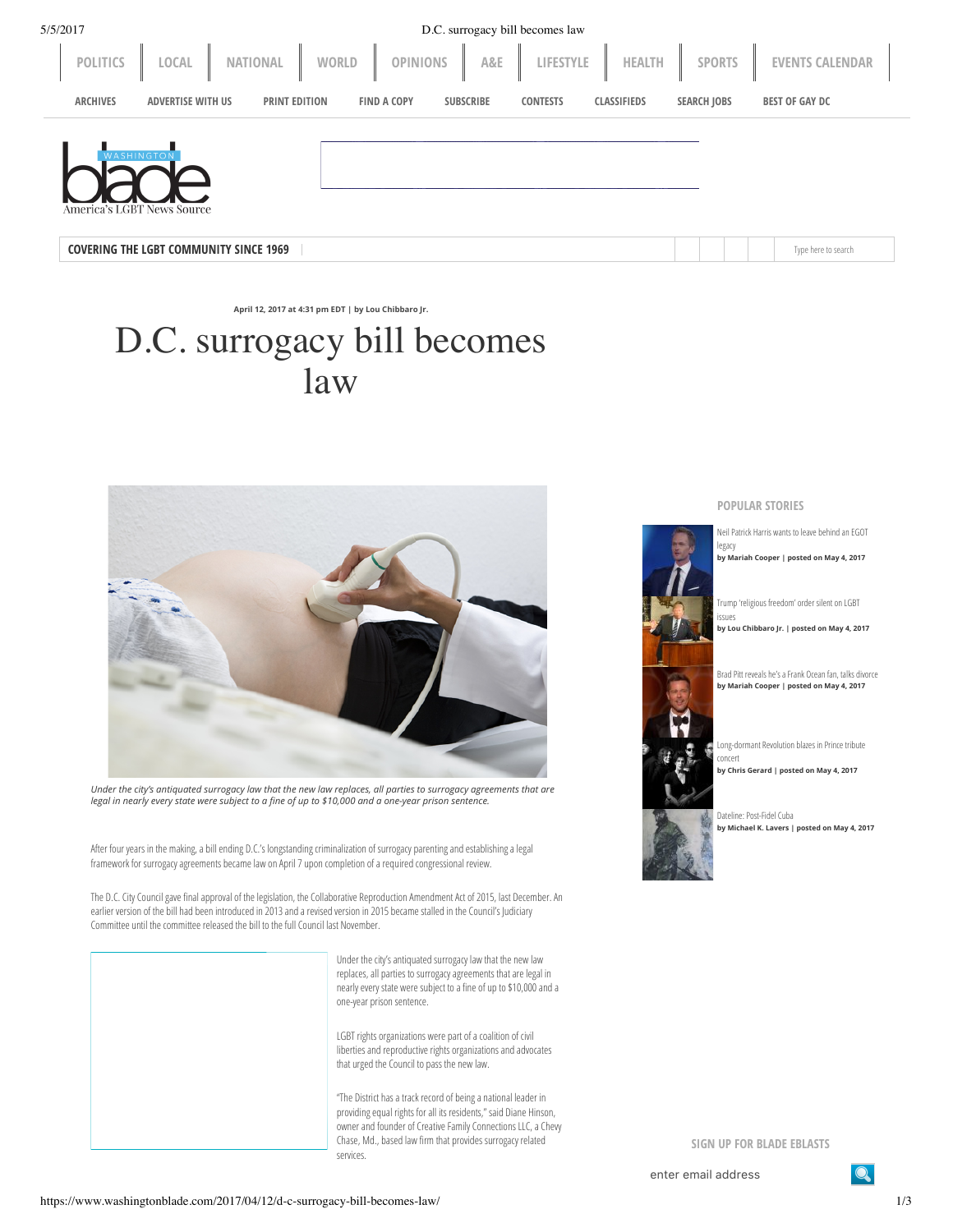| 5/5/2017                                      |                          |                                        | D.C. surrogacy bill becomes law |                    |                    |                        |
|-----------------------------------------------|--------------------------|----------------------------------------|---------------------------------|--------------------|--------------------|------------------------|
| LOCAL<br><b>POLITICS</b>                      | <b>NATIONAL</b><br>WORLD | <b>OPINIONS</b>                        | A&E<br>LIFESTYLE                | HEALTH             | <b>SPORTS</b>      | <b>EVENTS CALENDAR</b> |
| <b>ARCHIVES</b><br><b>ADVERTISE WITH US</b>   | <b>PRINT EDITION</b>     | <b>FIND A COPY</b><br><b>SUBSCRIBE</b> | <b>CONTESTS</b>                 | <b>CLASSIFIEDS</b> | <b>SEARCH JOBS</b> | <b>BEST OF GAY DC</b>  |
| VASHINGTO<br>America's LGBT News Source       |                          |                                        |                                 |                    |                    |                        |
| <b>COVERING THE LGBT COMMUNITY SINCE 1969</b> |                          |                                        |                                 |                    |                    | Type here to search    |

**April 12, 2017 at 4:31 pm EDT | by Lou Chibbaro Jr.**

## D.C. surrogacy bill becomes law



Under the city's antiquated surrogacy law that the new law replaces, all parties to surrogacy agreements that are *legal in nearly every state were subject to a ne of up to \$10,000 and a one-year prison sentence.*

After four years in the making, a bill ending D.C.'s longstanding criminalization of surrogacy parenting and establishing a legal framework for surrogacy agreements became law on April 7 upon completion of a required congressional review.

The D.C. City Council gave final approval of the legislation, the Collaborative Reproduction Amendment Act of 2015, last December. An earlier version of the bill had been introduced in 2013 and a revised version in 2015 became stalled in the Council's Judiciary Committee until the committee released the bill to the full Council last November.

> Under the city's antiquated surrogacy law that the new law replaces, all parties to surrogacy agreements that are legal in nearly every state were subject to a fine of up to \$10,000 and a one-year prison sentence.

LGBT rights organizations were part of a coalition of civil liberties and reproductive rights organizations and advocates that urged the Council to pass the new law.

"The District has a track record of being a national leader in providing equal rights for all its residents," said Diane Hinson, owner and founder of Creative Family Connections LLC, a Chevy Chase, Md., based law firm that provides surrogacy related services.



[Neil Patrick Harris wants to leave behind an EGOT](https://www.washingtonblade.com/2017/05/04/neil-patrick-harris-wants-leave-behind-egot-legacy/)

legacy **by [Mariah Cooper](https://www.washingtonblade.com/author/mcooper/) | posted on May 4, 2017**

[Trump 'religious freedom' order silent on LGBT](https://www.washingtonblade.com/2017/05/04/trump-religious-freedom-order-silent-lgbt-issues/)

issues **by [Lou Chibbaro Jr.](https://www.washingtonblade.com/author/lou-chibbaro-jr/) | posted on May 4, 2017**



[Brad Pitt reveals he's a Frank Ocean fan, talks divorce](https://www.washingtonblade.com/2017/05/04/brad-pitt-reveals-hes-frank-ocean-fan-talks-divorce/) **by [Mariah Cooper](https://www.washingtonblade.com/author/mcooper/) | posted on May 4, 2017**



[Long-dormant Revolution blazes in Prince tribute](https://www.washingtonblade.com/2017/05/04/long-dormant-revolution-blazes-prince-tribute-concert/) concert

**by [Chris Gerard](https://www.washingtonblade.com/author/chris-gerard/) | posted on May 4, 2017**

[Dateline: Post-Fidel Cuba](https://www.washingtonblade.com/2017/05/04/dateline-post-fidel-cuba/) **by [Michael K. Lavers](https://www.washingtonblade.com/author/mlavers/) | posted on May 4, 2017**

**SIGN UP FOR BLADE EBLASTS**